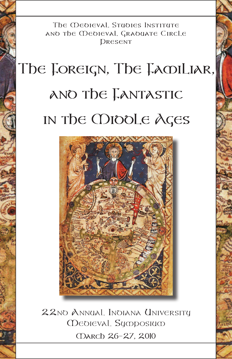The Medieval Studies Institute and the Medieval Graduate Circle DRESENT

# The Foreign, The Familiar, and the Fantastic in the Middle Ages



22nd Annual Indiana University Medieval Symposium March 26–27, 2010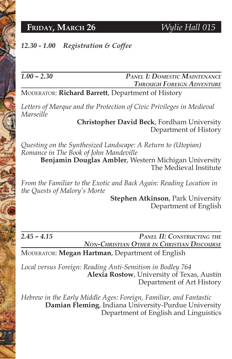### **FRIDAY, MARCH 26** *Wylie Hall 015*

### *12.30 - 1.00 Registration & Coffee*

### *1.00 – 2.30 Panel I: Domestic Maintenance Through Foreign Adventure*

Moderator: **Richard Barrett**, Department of History

Letters of Marque and the Protection of Civic Privileges in Medieval *Marseille*

> **Christopher David Beck**, Fordham University Department of History

*Questing on the Synthesized Landscape: A Return to (Utopian) Romance in The Book of John Mandeville*

**Benjamin Douglas Ambler**, Western Michigan University The Medieval Institute

*From the Familiar to the Exotic and Back Again: Reading Location in the Quests of Malory's Morte*

**Stephen Atkinson**, Park University Department of English

*2.45 – 4.15 Panel II: Constructing the Non-Christian Other in Christian Discourse*

Moderator: **Megan Hartman**, Department of English

*Local versus Foreign: Reading Anti-Semitism in Bodley 764* **Alexia Rostow**, University of Texas, Austin Department of Art History

*Hebrew in the Early Middle Ages: Foreign, Familiar, and Fantastic* **Damian Fleming**, Indiana University-Purdue University Department of English and Linguistics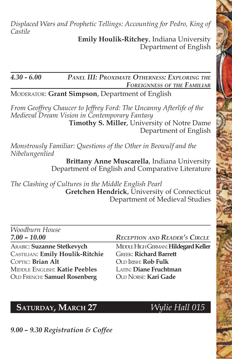*Displaced Wars and Prophetic Tellings: Accounting for Pedro, King of Castile*

**Emily Houlik-Ritchey**, Indiana University Department of English

### *4.30 - 6.00 Panel III: Proximate Otherness: Exploring the Foreignness of the Familiar*

Moderator: **Grant Simpson**, Department of English

*From Geoffrey Chaucer to Jeffrey Ford: The Uncanny Afterlife of the Medieval Dream Vision in Contemporary Fantasy* **Timothy S. Miller**, University of Notre Dame Department of English

*Monstrously Familiar: Questions of the Other in Beowulf and the Nibelungenlied*

> **Brittany Anne Muscarella**, Indiana University Department of English and Comparative Literature

*The Clashing of Cultures in the Middle English Pearl* **Gretchen Hendrick**, University of Connecticut Department of Medieval Studies

*Woodburn House*

Castilian: **Emily Houlik-Ritchie** Greek: **Richard Barrett** COPTIC: **Brian Alt COLO IRISH: Rob Fulk** Middle English: **Katie Peebles** Latin: **Diane Fruchtman** Old French: **Samuel Rosenberg** Old Norse: **Kari Gade**

### *7.00 – 10.00 Reception and Reader's Circle*

ARABIC: **Suzanne Stetkevych** MIDDLE HIGH GERMAN: **Hildegard Keller** 

## **SATURDAY, MARCH 27** *Wylie Hall 015*

*9.00 – 9.30 Registration & Coffee*

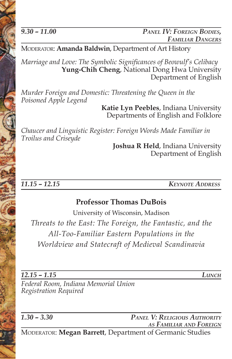*9.30 – 11.00 Panel IV: Foreign Bodies, Familiar Dangers*

Moderator: **Amanda Baldwin**, Department of Art History

*Marriage and Love: The Symbolic Significances of Beowulf's Celibacy* **Yung-Chih Cheng**, National Dong Hwa University Department of English

*Murder Foreign and Domestic: Threatening the Queen in the Poisoned Apple Legend*

> **Katie Lyn Peebles**, Indiana University Departments of English and Folklore

*Chaucer and Linguistic Register: Foreign Words Made Familiar in Troilus and Criseyde*

> **Joshua R Held**, Indiana University Department of English

*11.15 – 12.15 Keynote Address*

### **Professor Thomas DuBois**

University of Wisconsin, Madison *Threats to the East: The Foreign, the Fantastic, and the All-Too-Familiar Eastern Populations in the Worldview and Statecraft of Medieval Scandinavia*

*12.15 – 1.15 Lunch*

*Federal Room, Indiana Memorial Union Registration Required*

*1.30 – 3.30 Panel V: Religious Authority as Familiar and Foreign* Moderator: **Megan Barrett**, Department of Germanic Studies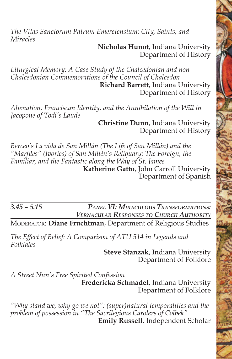*The Vitas Sanctorum Patrum Emeretensium: City, Saints, and Miracles*

> **Nicholas Hunot**, Indiana University Department of History

*Liturgical Memory: A Case Study of the Chalcedonian and non-Chalcedonian Commemorations of the Council of Chalcedon* **Richard Barrett**, Indiana University Department of History

*Alienation, Franciscan Identity, and the Annihilation of the Will in Jacopone of Todi's Laude*

 **Christine Dunn**, Indiana University Department of History

*Berceo's La vida de San Millán (The Life of San Millán) and the "Marfiles" (Ivories) of San Millén's Reliquary: The Foreign, the Familiar, and the Fantastic along the Way of St. James* **Katherine Gatto**, John Carroll University Department of Spanish

*3.45 – 5.15 Panel VI: Miraculous Transformations: Vernacular Responses to Church Authority*

Moderator: **Diane Fruchtman**, Department of Religious Studies

*The Effect of Belief: A Comparison of ATU 514 in Legends and Folktales*

**Steve Stanzak**, Indiana University Department of Folklore

*A Street Nun's Free Spirited Confession* **Fredericka Schmadel**, Indiana University Department of Folklore

*"Why stand we, why go we not": (super)natural temporalities and the problem of possession in "The Sacrilegious Carolers of Colbek"* **Emily Russell**, Independent Scholar